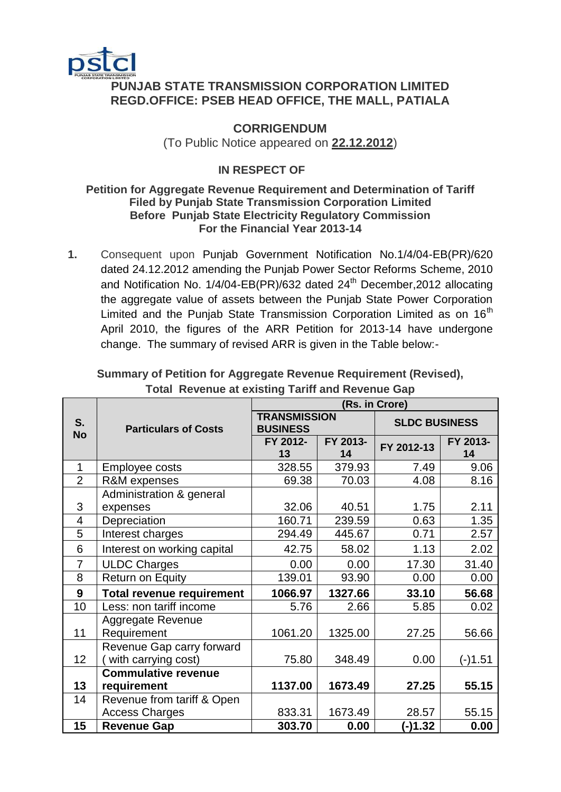

## **PUNJAB STATE TRANSMISSION CORPORATION LIMITED REGD.OFFICE: PSEB HEAD OFFICE, THE MALL, PATIALA**

## **CORRIGENDUM** (To Public Notice appeared on **22.12.2012**)

# **IN RESPECT OF**

### **Petition for Aggregate Revenue Requirement and Determination of Tariff Filed by Punjab State Transmission Corporation Limited Before Punjab State Electricity Regulatory Commission For the Financial Year 2013-14**

**1.** Consequent upon Punjab Government Notification No.1/4/04-EB(PR)/620 dated 24.12.2012 amending the Punjab Power Sector Reforms Scheme, 2010 and Notification No.  $1/4/04$ -EB(PR)/632 dated  $24<sup>th</sup>$  December, 2012 allocating the aggregate value of assets between the Punjab State Power Corporation Limited and the Punjab State Transmission Corporation Limited as on  $16<sup>th</sup>$ April 2010, the figures of the ARR Petition for 2013-14 have undergone change. The summary of revised ARR is given in the Table below:-

|                          | <b>Particulars of Costs</b>      | (Rs. in Crore)                         |                |                      |                |
|--------------------------|----------------------------------|----------------------------------------|----------------|----------------------|----------------|
| S.<br><b>No</b>          |                                  | <b>TRANSMISSION</b><br><b>BUSINESS</b> |                | <b>SLDC BUSINESS</b> |                |
|                          |                                  | FY 2012-<br>13                         | FY 2013-<br>14 | FY 2012-13           | FY 2013-<br>14 |
| 1                        | Employee costs                   | 328.55                                 | 379.93         | 7.49                 | 9.06           |
| $\overline{2}$           | R&M expenses                     | 69.38                                  | 70.03          | 4.08                 | 8.16           |
|                          | Administration & general         |                                        |                |                      |                |
| 3                        | expenses                         | 32.06                                  | 40.51          | 1.75                 | 2.11           |
| $\overline{\mathcal{A}}$ | Depreciation                     | 160.71                                 | 239.59         | 0.63                 | 1.35           |
| 5                        | Interest charges                 | 294.49                                 | 445.67         | 0.71                 | 2.57           |
| 6                        | Interest on working capital      | 42.75                                  | 58.02          | 1.13                 | 2.02           |
| $\overline{7}$           | <b>ULDC Charges</b>              | 0.00                                   | 0.00           | 17.30                | 31.40          |
| 8                        | Return on Equity                 | 139.01                                 | 93.90          | 0.00                 | 0.00           |
| 9                        | <b>Total revenue requirement</b> | 1066.97                                | 1327.66        | 33.10                | 56.68          |
| 10                       | Less: non tariff income          | 5.76                                   | 2.66           | 5.85                 | 0.02           |
|                          | <b>Aggregate Revenue</b>         |                                        |                |                      |                |
| 11                       | Requirement                      | 1061.20                                | 1325.00        | 27.25                | 56.66          |
|                          | Revenue Gap carry forward        |                                        |                |                      |                |
| 12                       | with carrying cost)              | 75.80                                  | 348.49         | 0.00                 | (-)1.51        |
|                          | <b>Commulative revenue</b>       |                                        |                |                      |                |
| 13                       | requirement                      | 1137.00                                | 1673.49        | 27.25                | 55.15          |
| 14                       | Revenue from tariff & Open       |                                        |                |                      |                |
|                          | <b>Access Charges</b>            | 833.31                                 | 1673.49        | 28.57                | 55.15          |
| 15                       | <b>Revenue Gap</b>               | 303.70                                 | 0.00           | $(-)1.32$            | 0.00           |

### **Summary of Petition for Aggregate Revenue Requirement (Revised), Total Revenue at existing Tariff and Revenue Gap**